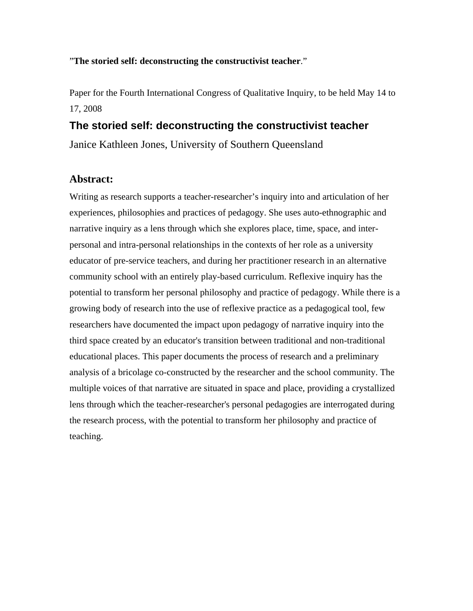### "**The storied self: deconstructing the constructivist teacher**."

Paper for the Fourth International Congress of Qualitative Inquiry, to be held May 14 to 17, 2008

# **The storied self: deconstructing the constructivist teacher**

Janice Kathleen Jones, University of Southern Queensland

## **Abstract:**

Writing as research supports a teacher-researcher's inquiry into and articulation of her experiences, philosophies and practices of pedagogy. She uses auto-ethnographic and narrative inquiry as a lens through which she explores place, time, space, and interpersonal and intra-personal relationships in the contexts of her role as a university educator of pre-service teachers, and during her practitioner research in an alternative community school with an entirely play-based curriculum. Reflexive inquiry has the potential to transform her personal philosophy and practice of pedagogy. While there is a growing body of research into the use of reflexive practice as a pedagogical tool, few researchers have documented the impact upon pedagogy of narrative inquiry into the third space created by an educator's transition between traditional and non-traditional educational places. This paper documents the process of research and a preliminary analysis of a bricolage co-constructed by the researcher and the school community. The multiple voices of that narrative are situated in space and place, providing a crystallized lens through which the teacher-researcher's personal pedagogies are interrogated during the research process, with the potential to transform her philosophy and practice of teaching.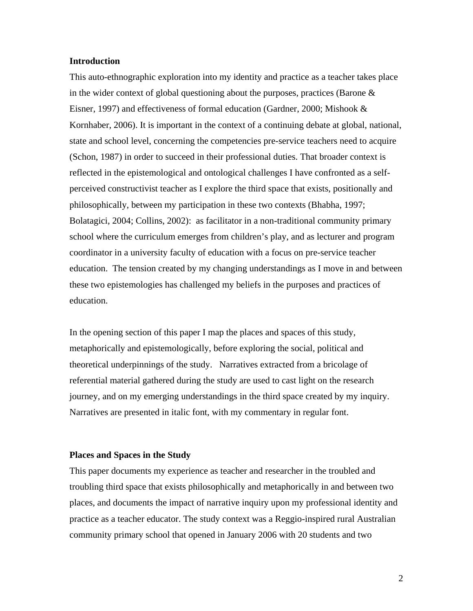#### **Introduction**

This auto-ethnographic exploration into my identity and practice as a teacher takes place in the wider context of global questioning about the purposes, practices (Barone & Eisner, 1997) and effectiveness of formal education (Gardner, 2000; Mishook & Kornhaber, 2006). It is important in the context of a continuing debate at global, national, state and school level, concerning the competencies pre-service teachers need to acquire (Schon, 1987) in order to succeed in their professional duties. That broader context is reflected in the epistemological and ontological challenges I have confronted as a selfperceived constructivist teacher as I explore the third space that exists, positionally and philosophically, between my participation in these two contexts (Bhabha, 1997; Bolatagici, 2004; Collins, 2002): as facilitator in a non-traditional community primary school where the curriculum emerges from children's play, and as lecturer and program coordinator in a university faculty of education with a focus on pre-service teacher education. The tension created by my changing understandings as I move in and between these two epistemologies has challenged my beliefs in the purposes and practices of education.

In the opening section of this paper I map the places and spaces of this study, metaphorically and epistemologically, before exploring the social, political and theoretical underpinnings of the study. Narratives extracted from a bricolage of referential material gathered during the study are used to cast light on the research journey, and on my emerging understandings in the third space created by my inquiry. Narratives are presented in italic font, with my commentary in regular font.

#### **Places and Spaces in the Study**

This paper documents my experience as teacher and researcher in the troubled and troubling third space that exists philosophically and metaphorically in and between two places, and documents the impact of narrative inquiry upon my professional identity and practice as a teacher educator. The study context was a Reggio-inspired rural Australian community primary school that opened in January 2006 with 20 students and two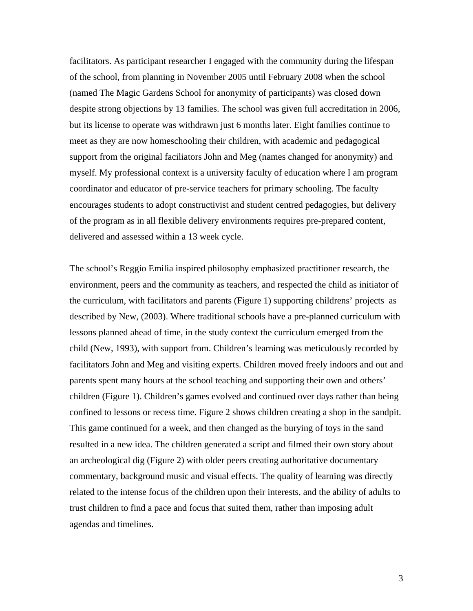facilitators. As participant researcher I engaged with the community during the lifespan of the school, from planning in November 2005 until February 2008 when the school (named The Magic Gardens School for anonymity of participants) was closed down despite strong objections by 13 families. The school was given full accreditation in 2006, but its license to operate was withdrawn just 6 months later. Eight families continue to meet as they are now homeschooling their children, with academic and pedagogical support from the original faciliators John and Meg (names changed for anonymity) and myself. My professional context is a university faculty of education where I am program coordinator and educator of pre-service teachers for primary schooling. The faculty encourages students to adopt constructivist and student centred pedagogies, but delivery of the program as in all flexible delivery environments requires pre-prepared content, delivered and assessed within a 13 week cycle.

The school's Reggio Emilia inspired philosophy emphasized practitioner research, the environment, peers and the community as teachers, and respected the child as initiator of the curriculum, with facilitators and parents (Figure 1) supporting childrens' projects as described by New, (2003). Where traditional schools have a pre-planned curriculum with lessons planned ahead of time, in the study context the curriculum emerged from the child (New, 1993), with support from. Children's learning was meticulously recorded by facilitators John and Meg and visiting experts. Children moved freely indoors and out and parents spent many hours at the school teaching and supporting their own and others' children (Figure 1). Children's games evolved and continued over days rather than being confined to lessons or recess time. Figure 2 shows children creating a shop in the sandpit. This game continued for a week, and then changed as the burying of toys in the sand resulted in a new idea. The children generated a script and filmed their own story about an archeological dig (Figure 2) with older peers creating authoritative documentary commentary, background music and visual effects. The quality of learning was directly related to the intense focus of the children upon their interests, and the ability of adults to trust children to find a pace and focus that suited them, rather than imposing adult agendas and timelines.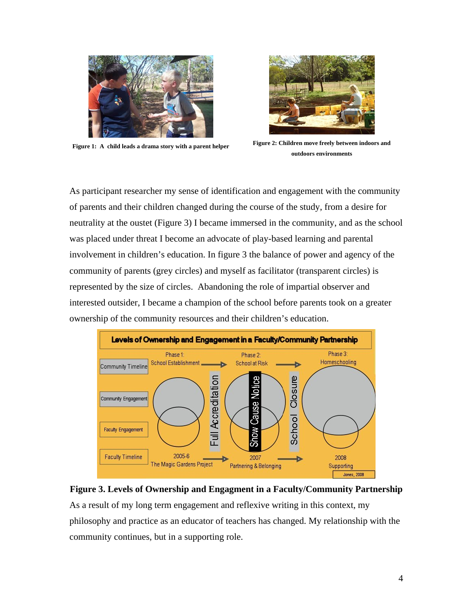



**Figure 1: A child leads a drama story with a parent helper Figure 2: Children move freely between indoors and outdoors environments**

As participant researcher my sense of identification and engagement with the community of parents and their children changed during the course of the study, from a desire for neutrality at the oustet (Figure 3) I became immersed in the community, and as the school was placed under threat I become an advocate of play-based learning and parental involvement in children's education. In figure 3 the balance of power and agency of the community of parents (grey circles) and myself as facilitator (transparent circles) is represented by the size of circles. Abandoning the role of impartial observer and interested outsider, I became a champion of the school before parents took on a greater ownership of the community resources and their children's education.





As a result of my long term engagement and reflexive writing in this context, my philosophy and practice as an educator of teachers has changed. My relationship with the community continues, but in a supporting role.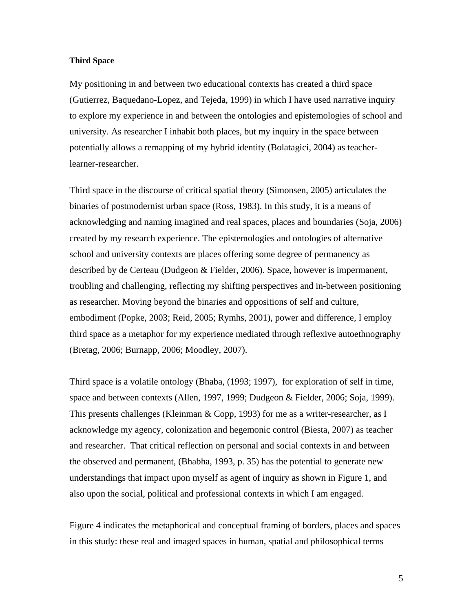#### **Third Space**

My positioning in and between two educational contexts has created a third space (Gutierrez, Baquedano-Lopez, and Tejeda, 1999) in which I have used narrative inquiry to explore my experience in and between the ontologies and epistemologies of school and university. As researcher I inhabit both places, but my inquiry in the space between potentially allows a remapping of my hybrid identity (Bolatagici, 2004) as teacherlearner-researcher.

Third space in the discourse of critical spatial theory (Simonsen, 2005) articulates the binaries of postmodernist urban space (Ross, 1983). In this study, it is a means of acknowledging and naming imagined and real spaces, places and boundaries (Soja, 2006) created by my research experience. The epistemologies and ontologies of alternative school and university contexts are places offering some degree of permanency as described by de Certeau (Dudgeon & Fielder, 2006). Space, however is impermanent, troubling and challenging, reflecting my shifting perspectives and in-between positioning as researcher. Moving beyond the binaries and oppositions of self and culture, embodiment (Popke, 2003; Reid, 2005; Rymhs, 2001), power and difference, I employ third space as a metaphor for my experience mediated through reflexive autoethnography (Bretag, 2006; Burnapp, 2006; Moodley, 2007).

Third space is a volatile ontology (Bhaba, (1993; 1997), for exploration of self in time, space and between contexts (Allen, 1997, 1999; Dudgeon & Fielder, 2006; Soja, 1999). This presents challenges (Kleinman & Copp, 1993) for me as a writer-researcher, as I acknowledge my agency, colonization and hegemonic control (Biesta, 2007) as teacher and researcher. That critical reflection on personal and social contexts in and between the observed and permanent, (Bhabha, 1993, p. 35) has the potential to generate new understandings that impact upon myself as agent of inquiry as shown in Figure 1, and also upon the social, political and professional contexts in which I am engaged.

Figure 4 indicates the metaphorical and conceptual framing of borders, places and spaces in this study: these real and imaged spaces in human, spatial and philosophical terms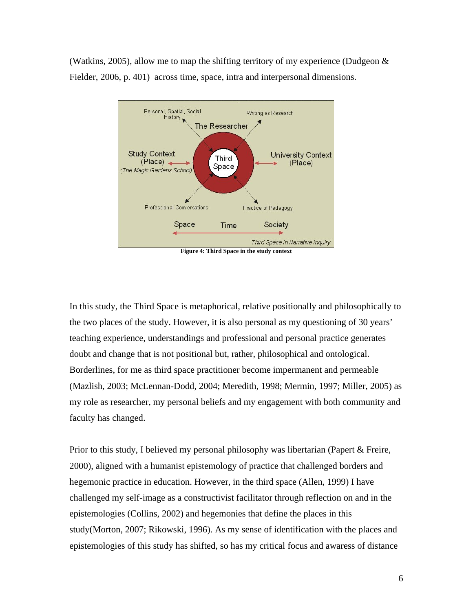(Watkins, 2005), allow me to map the shifting territory of my experience (Dudgeon  $\&$ Fielder, 2006, p. 401) across time, space, intra and interpersonal dimensions.



**Figure 4: Third Space in the study context** 

In this study, the Third Space is metaphorical, relative positionally and philosophically to the two places of the study. However, it is also personal as my questioning of 30 years' teaching experience, understandings and professional and personal practice generates doubt and change that is not positional but, rather, philosophical and ontological. Borderlines, for me as third space practitioner become impermanent and permeable (Mazlish, 2003; McLennan-Dodd, 2004; Meredith, 1998; Mermin, 1997; Miller, 2005) as my role as researcher, my personal beliefs and my engagement with both community and faculty has changed.

Prior to this study, I believed my personal philosophy was libertarian (Papert & Freire, 2000), aligned with a humanist epistemology of practice that challenged borders and hegemonic practice in education. However, in the third space (Allen, 1999) I have challenged my self-image as a constructivist facilitator through reflection on and in the epistemologies (Collins, 2002) and hegemonies that define the places in this study(Morton, 2007; Rikowski, 1996). As my sense of identification with the places and epistemologies of this study has shifted, so has my critical focus and awaress of distance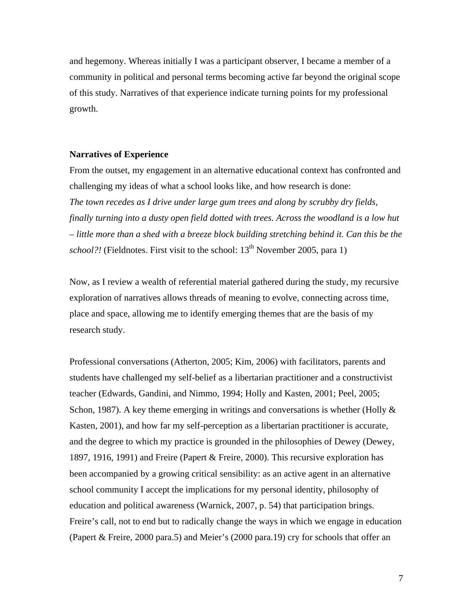and hegemony. Whereas initially I was a participant observer, I became a member of a community in political and personal terms becoming active far beyond the original scope of this study. Narratives of that experience indicate turning points for my professional growth.

#### **Narratives of Experience**

From the outset, my engagement in an alternative educational context has confronted and challenging my ideas of what a school looks like, and how research is done: *The town recedes as I drive under large gum trees and along by scrubby dry fields, finally turning into a dusty open field dotted with trees. Across the woodland is a low hut – little more than a shed with a breeze block building stretching behind it. Can this be the school?!* (Fieldnotes. First visit to the school:  $13<sup>th</sup>$  November 2005, para 1)

Now, as I review a wealth of referential material gathered during the study, my recursive exploration of narratives allows threads of meaning to evolve, connecting across time, place and space, allowing me to identify emerging themes that are the basis of my research study.

Professional conversations (Atherton, 2005; Kim, 2006) with facilitators, parents and students have challenged my self-belief as a libertarian practitioner and a constructivist teacher (Edwards, Gandini, and Nimmo, 1994; Holly and Kasten, 2001; Peel, 2005; Schon, 1987). A key theme emerging in writings and conversations is whether (Holly  $\&$ Kasten, 2001), and how far my self-perception as a libertarian practitioner is accurate, and the degree to which my practice is grounded in the philosophies of Dewey (Dewey, 1897, 1916, 1991) and Freire (Papert & Freire, 2000). This recursive exploration has been accompanied by a growing critical sensibility: as an active agent in an alternative school community I accept the implications for my personal identity, philosophy of education and political awareness (Warnick, 2007, p. 54) that participation brings. Freire's call, not to end but to radically change the ways in which we engage in education (Papert & Freire, 2000 para.5) and Meier's (2000 para.19) cry for schools that offer an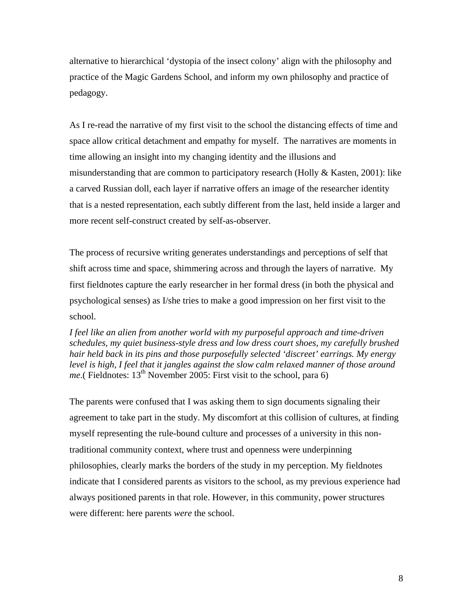alternative to hierarchical 'dystopia of the insect colony' align with the philosophy and practice of the Magic Gardens School, and inform my own philosophy and practice of pedagogy.

As I re-read the narrative of my first visit to the school the distancing effects of time and space allow critical detachment and empathy for myself. The narratives are moments in time allowing an insight into my changing identity and the illusions and misunderstanding that are common to participatory research (Holly & Kasten, 2001): like a carved Russian doll, each layer if narrative offers an image of the researcher identity that is a nested representation, each subtly different from the last, held inside a larger and more recent self-construct created by self-as-observer.

The process of recursive writing generates understandings and perceptions of self that shift across time and space, shimmering across and through the layers of narrative. My first fieldnotes capture the early researcher in her formal dress (in both the physical and psychological senses) as I/she tries to make a good impression on her first visit to the school.

*I feel like an alien from another world with my purposeful approach and time-driven schedules, my quiet business-style dress and low dress court shoes, my carefully brushed hair held back in its pins and those purposefully selected 'discreet' earrings. My energy level is high, I feel that it jangles against the slow calm relaxed manner of those around me*.( Fieldnotes:  $13<sup>th</sup>$  November 2005: First visit to the school, para 6)

The parents were confused that I was asking them to sign documents signaling their agreement to take part in the study. My discomfort at this collision of cultures, at finding myself representing the rule-bound culture and processes of a university in this nontraditional community context, where trust and openness were underpinning philosophies, clearly marks the borders of the study in my perception. My fieldnotes indicate that I considered parents as visitors to the school, as my previous experience had always positioned parents in that role. However, in this community, power structures were different: here parents *were* the school.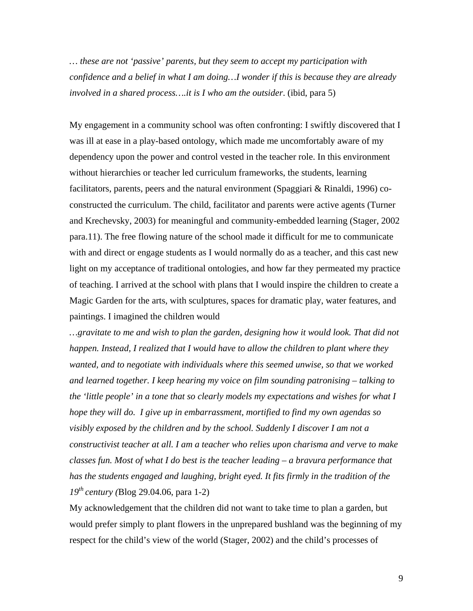*… these are not 'passive' parents, but they seem to accept my participation with confidence and a belief in what I am doing…I wonder if this is because they are already involved in a shared process….it is I who am the outsider*. (ibid, para 5)

My engagement in a community school was often confronting: I swiftly discovered that I was ill at ease in a play-based ontology, which made me uncomfortably aware of my dependency upon the power and control vested in the teacher role. In this environment without hierarchies or teacher led curriculum frameworks, the students, learning facilitators, parents, peers and the natural environment (Spaggiari  $\&$  Rinaldi, 1996) coconstructed the curriculum. The child, facilitator and parents were active agents (Turner and Krechevsky, 2003) for meaningful and community-embedded learning (Stager, 2002 para.11). The free flowing nature of the school made it difficult for me to communicate with and direct or engage students as I would normally do as a teacher, and this cast new light on my acceptance of traditional ontologies, and how far they permeated my practice of teaching. I arrived at the school with plans that I would inspire the children to create a Magic Garden for the arts, with sculptures, spaces for dramatic play, water features, and paintings. I imagined the children would

*…gravitate to me and wish to plan the garden, designing how it would look. That did not happen. Instead, I realized that I would have to allow the children to plant where they wanted, and to negotiate with individuals where this seemed unwise, so that we worked and learned together. I keep hearing my voice on film sounding patronising – talking to the 'little people' in a tone that so clearly models my expectations and wishes for what I hope they will do. I give up in embarrassment, mortified to find my own agendas so visibly exposed by the children and by the school. Suddenly I discover I am not a constructivist teacher at all. I am a teacher who relies upon charisma and verve to make classes fun. Most of what I do best is the teacher leading – a bravura performance that*  has the students engaged and laughing, bright eyed. It fits firmly in the tradition of the *19th century (*Blog 29.04.06, para 1-2)

My acknowledgement that the children did not want to take time to plan a garden, but would prefer simply to plant flowers in the unprepared bushland was the beginning of my respect for the child's view of the world (Stager, 2002) and the child's processes of

9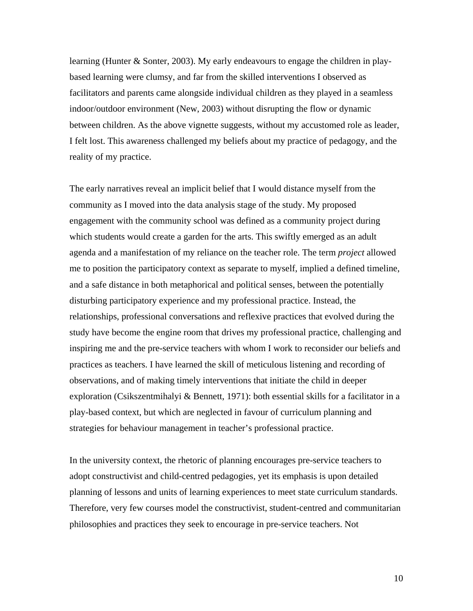learning (Hunter & Sonter, 2003). My early endeavours to engage the children in playbased learning were clumsy, and far from the skilled interventions I observed as facilitators and parents came alongside individual children as they played in a seamless indoor/outdoor environment (New, 2003) without disrupting the flow or dynamic between children. As the above vignette suggests, without my accustomed role as leader, I felt lost. This awareness challenged my beliefs about my practice of pedagogy, and the reality of my practice.

The early narratives reveal an implicit belief that I would distance myself from the community as I moved into the data analysis stage of the study. My proposed engagement with the community school was defined as a community project during which students would create a garden for the arts. This swiftly emerged as an adult agenda and a manifestation of my reliance on the teacher role. The term *project* allowed me to position the participatory context as separate to myself, implied a defined timeline, and a safe distance in both metaphorical and political senses, between the potentially disturbing participatory experience and my professional practice. Instead, the relationships, professional conversations and reflexive practices that evolved during the study have become the engine room that drives my professional practice, challenging and inspiring me and the pre-service teachers with whom I work to reconsider our beliefs and practices as teachers. I have learned the skill of meticulous listening and recording of observations, and of making timely interventions that initiate the child in deeper exploration (Csikszentmihalyi & Bennett, 1971): both essential skills for a facilitator in a play-based context, but which are neglected in favour of curriculum planning and strategies for behaviour management in teacher's professional practice.

In the university context, the rhetoric of planning encourages pre-service teachers to adopt constructivist and child-centred pedagogies, yet its emphasis is upon detailed planning of lessons and units of learning experiences to meet state curriculum standards. Therefore, very few courses model the constructivist, student-centred and communitarian philosophies and practices they seek to encourage in pre-service teachers. Not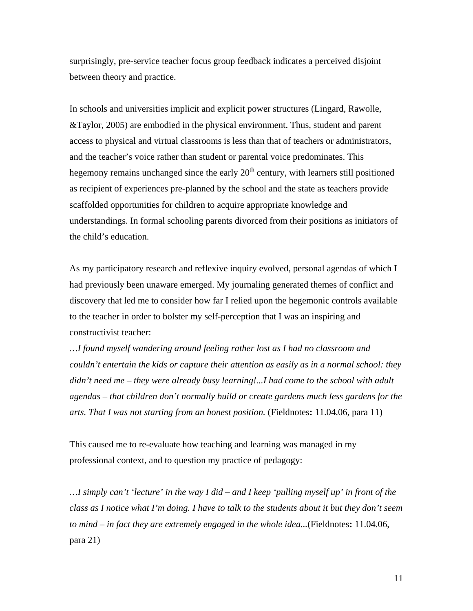surprisingly, pre-service teacher focus group feedback indicates a perceived disjoint between theory and practice.

In schools and universities implicit and explicit power structures (Lingard, Rawolle, &Taylor, 2005) are embodied in the physical environment. Thus, student and parent access to physical and virtual classrooms is less than that of teachers or administrators, and the teacher's voice rather than student or parental voice predominates. This hegemony remains unchanged since the early  $20<sup>th</sup>$  century, with learners still positioned as recipient of experiences pre-planned by the school and the state as teachers provide scaffolded opportunities for children to acquire appropriate knowledge and understandings. In formal schooling parents divorced from their positions as initiators of the child's education.

As my participatory research and reflexive inquiry evolved, personal agendas of which I had previously been unaware emerged. My journaling generated themes of conflict and discovery that led me to consider how far I relied upon the hegemonic controls available to the teacher in order to bolster my self-perception that I was an inspiring and constructivist teacher:

*…I found myself wandering around feeling rather lost as I had no classroom and couldn't entertain the kids or capture their attention as easily as in a normal school: they didn't need me – they were already busy learning!...I had come to the school with adult agendas – that children don't normally build or create gardens much less gardens for the arts. That I was not starting from an honest position.* (Fieldnotes**:** 11.04.06, para 11)

This caused me to re-evaluate how teaching and learning was managed in my professional context, and to question my practice of pedagogy:

*…I simply can't 'lecture' in the way I did – and I keep 'pulling myself up' in front of the class as I notice what I'm doing. I have to talk to the students about it but they don't seem to mind – in fact they are extremely engaged in the whole idea...*(Fieldnotes**:** 11.04.06, para 21)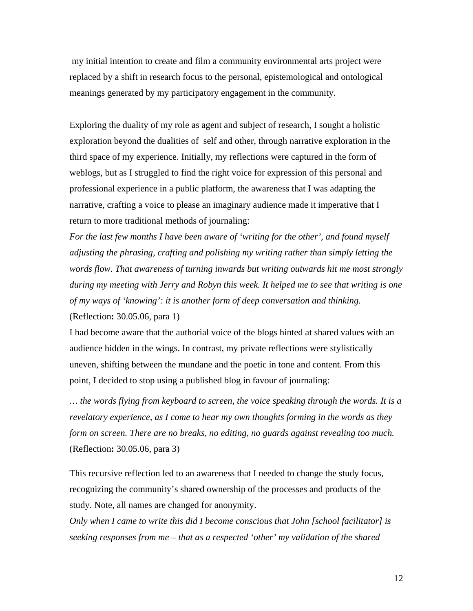my initial intention to create and film a community environmental arts project were replaced by a shift in research focus to the personal, epistemological and ontological meanings generated by my participatory engagement in the community.

Exploring the duality of my role as agent and subject of research, I sought a holistic exploration beyond the dualities of self and other, through narrative exploration in the third space of my experience. Initially, my reflections were captured in the form of weblogs, but as I struggled to find the right voice for expression of this personal and professional experience in a public platform, the awareness that I was adapting the narrative, crafting a voice to please an imaginary audience made it imperative that I return to more traditional methods of journaling:

*For the last few months I have been aware of 'writing for the other', and found myself adjusting the phrasing, crafting and polishing my writing rather than simply letting the words flow. That awareness of turning inwards but writing outwards hit me most strongly during my meeting with Jerry and Robyn this week. It helped me to see that writing is one of my ways of 'knowing': it is another form of deep conversation and thinking.*  (Reflection**:** 30.05.06, para 1)

I had become aware that the authorial voice of the blogs hinted at shared values with an audience hidden in the wings. In contrast, my private reflections were stylistically uneven, shifting between the mundane and the poetic in tone and content. From this point, I decided to stop using a published blog in favour of journaling:

*… the words flying from keyboard to screen, the voice speaking through the words. It is a revelatory experience, as I come to hear my own thoughts forming in the words as they form on screen. There are no breaks, no editing, no guards against revealing too much.*  (Reflection**:** 30.05.06, para 3)

This recursive reflection led to an awareness that I needed to change the study focus, recognizing the community's shared ownership of the processes and products of the study. Note, all names are changed for anonymity.

*Only when I came to write this did I become conscious that John [school facilitator] is seeking responses from me – that as a respected 'other' my validation of the shared*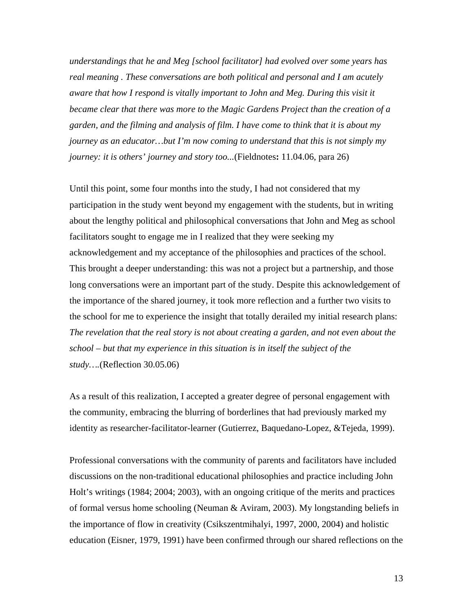*understandings that he and Meg [school facilitator] had evolved over some years has real meaning . These conversations are both political and personal and I am acutely aware that how I respond is vitally important to John and Meg. During this visit it became clear that there was more to the Magic Gardens Project than the creation of a garden, and the filming and analysis of film. I have come to think that it is about my journey as an educator…but I'm now coming to understand that this is not simply my journey: it is others' journey and story too...*(Fieldnotes**:** 11.04.06, para 26)

Until this point, some four months into the study, I had not considered that my participation in the study went beyond my engagement with the students, but in writing about the lengthy political and philosophical conversations that John and Meg as school facilitators sought to engage me in I realized that they were seeking my acknowledgement and my acceptance of the philosophies and practices of the school. This brought a deeper understanding: this was not a project but a partnership, and those long conversations were an important part of the study. Despite this acknowledgement of the importance of the shared journey, it took more reflection and a further two visits to the school for me to experience the insight that totally derailed my initial research plans: *The revelation that the real story is not about creating a garden, and not even about the school – but that my experience in this situation is in itself the subject of the study….*(Reflection 30.05.06)

As a result of this realization, I accepted a greater degree of personal engagement with the community, embracing the blurring of borderlines that had previously marked my identity as researcher-facilitator-learner (Gutierrez, Baquedano-Lopez, &Tejeda, 1999).

Professional conversations with the community of parents and facilitators have included discussions on the non-traditional educational philosophies and practice including John Holt's writings (1984; 2004; 2003), with an ongoing critique of the merits and practices of formal versus home schooling (Neuman & Aviram, 2003). My longstanding beliefs in the importance of flow in creativity (Csikszentmihalyi, 1997, 2000, 2004) and holistic education (Eisner, 1979, 1991) have been confirmed through our shared reflections on the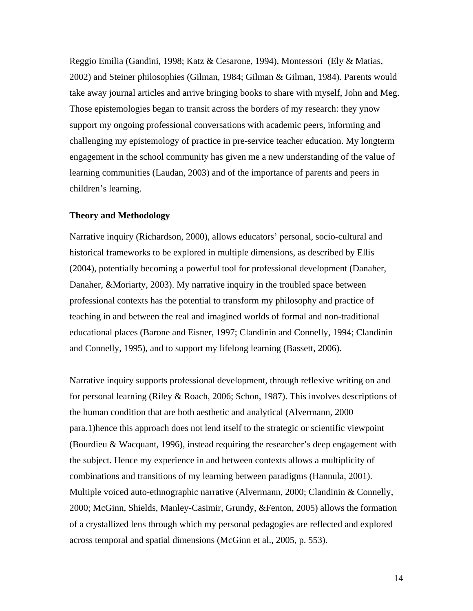Reggio Emilia (Gandini, 1998; Katz & Cesarone, 1994), Montessori (Ely & Matias, 2002) and Steiner philosophies (Gilman, 1984; Gilman & Gilman, 1984). Parents would take away journal articles and arrive bringing books to share with myself, John and Meg. Those epistemologies began to transit across the borders of my research: they ynow support my ongoing professional conversations with academic peers, informing and challenging my epistemology of practice in pre-service teacher education. My longterm engagement in the school community has given me a new understanding of the value of learning communities (Laudan, 2003) and of the importance of parents and peers in children's learning.

#### **Theory and Methodology**

Narrative inquiry (Richardson, 2000), allows educators' personal, socio-cultural and historical frameworks to be explored in multiple dimensions, as described by Ellis (2004), potentially becoming a powerful tool for professional development (Danaher, Danaher, &Moriarty, 2003). My narrative inquiry in the troubled space between professional contexts has the potential to transform my philosophy and practice of teaching in and between the real and imagined worlds of formal and non-traditional educational places (Barone and Eisner, 1997; Clandinin and Connelly, 1994; Clandinin and Connelly, 1995), and to support my lifelong learning (Bassett, 2006).

Narrative inquiry supports professional development, through reflexive writing on and for personal learning (Riley & Roach, 2006; Schon, 1987). This involves descriptions of the human condition that are both aesthetic and analytical (Alvermann, 2000 para.1)hence this approach does not lend itself to the strategic or scientific viewpoint (Bourdieu & Wacquant, 1996), instead requiring the researcher's deep engagement with the subject. Hence my experience in and between contexts allows a multiplicity of combinations and transitions of my learning between paradigms (Hannula, 2001). Multiple voiced auto-ethnographic narrative (Alvermann, 2000; Clandinin & Connelly, 2000; McGinn, Shields, Manley-Casimir, Grundy, &Fenton, 2005) allows the formation of a crystallized lens through which my personal pedagogies are reflected and explored across temporal and spatial dimensions (McGinn et al., 2005, p. 553).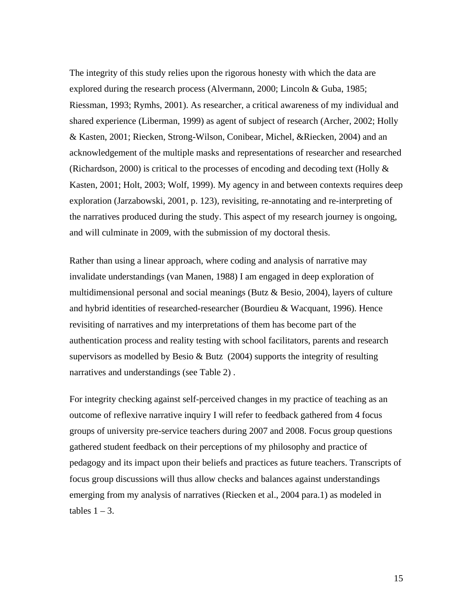The integrity of this study relies upon the rigorous honesty with which the data are explored during the research process (Alvermann, 2000; Lincoln & Guba, 1985; Riessman, 1993; Rymhs, 2001). As researcher, a critical awareness of my individual and shared experience (Liberman, 1999) as agent of subject of research (Archer, 2002; Holly & Kasten, 2001; Riecken, Strong-Wilson, Conibear, Michel, &Riecken, 2004) and an acknowledgement of the multiple masks and representations of researcher and researched (Richardson, 2000) is critical to the processes of encoding and decoding text (Holly & Kasten, 2001; Holt, 2003; Wolf, 1999). My agency in and between contexts requires deep exploration (Jarzabowski, 2001, p. 123), revisiting, re-annotating and re-interpreting of the narratives produced during the study. This aspect of my research journey is ongoing, and will culminate in 2009, with the submission of my doctoral thesis.

Rather than using a linear approach, where coding and analysis of narrative may invalidate understandings (van Manen, 1988) I am engaged in deep exploration of multidimensional personal and social meanings (Butz & Besio, 2004), layers of culture and hybrid identities of researched-researcher (Bourdieu & Wacquant, 1996). Hence revisiting of narratives and my interpretations of them has become part of the authentication process and reality testing with school facilitators, parents and research supervisors as modelled by Besio & Butz (2004) supports the integrity of resulting narratives and understandings (see Table 2) .

For integrity checking against self-perceived changes in my practice of teaching as an outcome of reflexive narrative inquiry I will refer to feedback gathered from 4 focus groups of university pre-service teachers during 2007 and 2008. Focus group questions gathered student feedback on their perceptions of my philosophy and practice of pedagogy and its impact upon their beliefs and practices as future teachers. Transcripts of focus group discussions will thus allow checks and balances against understandings emerging from my analysis of narratives (Riecken et al., 2004 para.1) as modeled in tables  $1 - 3$ .

15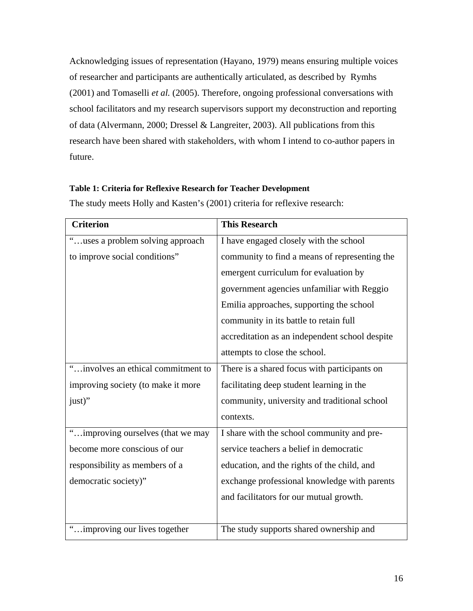Acknowledging issues of representation (Hayano, 1979) means ensuring multiple voices of researcher and participants are authentically articulated, as described by Rymhs (2001) and Tomaselli *et al.* (2005). Therefore, ongoing professional conversations with school facilitators and my research supervisors support my deconstruction and reporting of data (Alvermann, 2000; Dressel & Langreiter, 2003). All publications from this research have been shared with stakeholders, with whom I intend to co-author papers in future.

### **Table 1: Criteria for Reflexive Research for Teacher Development**

| <b>Criterion</b>                   | <b>This Research</b>                           |
|------------------------------------|------------------------------------------------|
| "uses a problem solving approach"  | I have engaged closely with the school         |
| to improve social conditions"      | community to find a means of representing the  |
|                                    | emergent curriculum for evaluation by          |
|                                    | government agencies unfamiliar with Reggio     |
|                                    | Emilia approaches, supporting the school       |
|                                    | community in its battle to retain full         |
|                                    | accreditation as an independent school despite |
|                                    | attempts to close the school.                  |
| "involves an ethical commitment to | There is a shared focus with participants on   |
| improving society (to make it more | facilitating deep student learning in the      |
| just)"                             | community, university and traditional school   |
|                                    | contexts.                                      |
| "improving ourselves (that we may  | I share with the school community and pre-     |
| become more conscious of our       | service teachers a belief in democratic        |
| responsibility as members of a     | education, and the rights of the child, and    |
| democratic society)"               | exchange professional knowledge with parents   |
|                                    | and facilitators for our mutual growth.        |
|                                    |                                                |
| "improving our lives together      | The study supports shared ownership and        |

The study meets Holly and Kasten's (2001) criteria for reflexive research: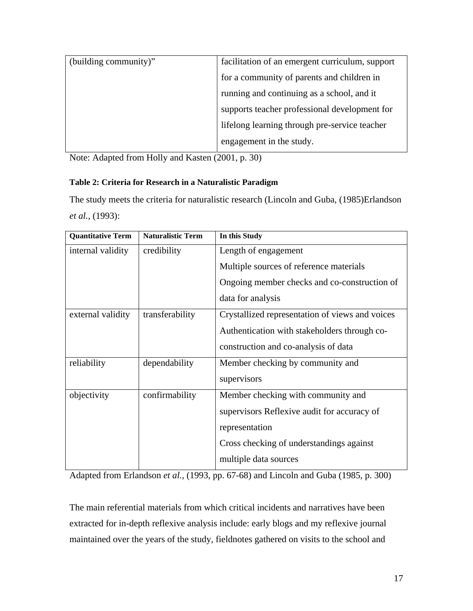| (building community)" | facilitation of an emergent curriculum, support |
|-----------------------|-------------------------------------------------|
|                       | for a community of parents and children in      |
|                       | running and continuing as a school, and it      |
|                       | supports teacher professional development for   |
|                       | lifelong learning through pre-service teacher   |
|                       | engagement in the study.                        |

Note: Adapted from Holly and Kasten (2001, p. 30)

## **Table 2: Criteria for Research in a Naturalistic Paradigm**

The study meets the criteria for naturalistic research (Lincoln and Guba, (1985)Erlandson *et al.,* (1993):

| <b>Quantitative Term</b> | <b>Naturalistic Term</b> | In this Study                                   |  |
|--------------------------|--------------------------|-------------------------------------------------|--|
| internal validity        | credibility              | Length of engagement                            |  |
|                          |                          | Multiple sources of reference materials         |  |
|                          |                          | Ongoing member checks and co-construction of    |  |
|                          |                          | data for analysis                               |  |
| external validity        | transferability          | Crystallized representation of views and voices |  |
|                          |                          | Authentication with stakeholders through co-    |  |
|                          |                          | construction and co-analysis of data            |  |
| reliability              | dependability            | Member checking by community and                |  |
|                          |                          | supervisors                                     |  |
| objectivity              | confirmability           | Member checking with community and              |  |
|                          |                          | supervisors Reflexive audit for accuracy of     |  |
|                          |                          | representation                                  |  |
|                          |                          | Cross checking of understandings against        |  |
|                          |                          | multiple data sources                           |  |

Adapted from Erlandson *et al.*, (1993, pp. 67-68) and Lincoln and Guba (1985, p. 300)

The main referential materials from which critical incidents and narratives have been extracted for in-depth reflexive analysis include: early blogs and my reflexive journal maintained over the years of the study, fieldnotes gathered on visits to the school and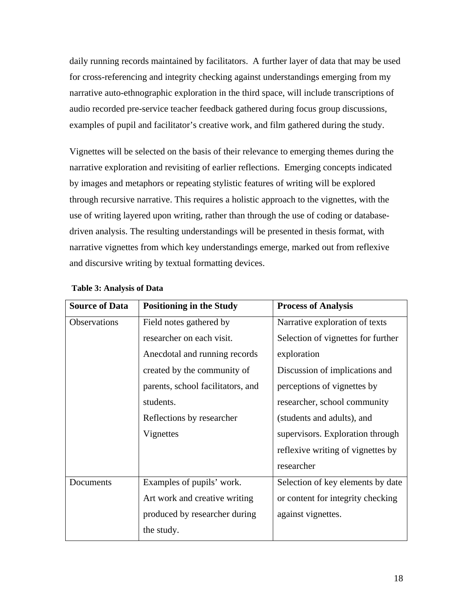daily running records maintained by facilitators. A further layer of data that may be used for cross-referencing and integrity checking against understandings emerging from my narrative auto-ethnographic exploration in the third space, will include transcriptions of audio recorded pre-service teacher feedback gathered during focus group discussions, examples of pupil and facilitator's creative work, and film gathered during the study.

Vignettes will be selected on the basis of their relevance to emerging themes during the narrative exploration and revisiting of earlier reflections. Emerging concepts indicated by images and metaphors or repeating stylistic features of writing will be explored through recursive narrative. This requires a holistic approach to the vignettes, with the use of writing layered upon writing, rather than through the use of coding or databasedriven analysis. The resulting understandings will be presented in thesis format, with narrative vignettes from which key understandings emerge, marked out from reflexive and discursive writing by textual formatting devices.

| <b>Source of Data</b> | <b>Positioning in the Study</b>   | <b>Process of Analysis</b>         |
|-----------------------|-----------------------------------|------------------------------------|
| Observations          | Field notes gathered by           | Narrative exploration of texts     |
|                       | researcher on each visit.         | Selection of vignettes for further |
|                       | Anecdotal and running records     | exploration                        |
|                       | created by the community of       | Discussion of implications and     |
|                       | parents, school facilitators, and | perceptions of vignettes by        |
|                       | students.                         | researcher, school community       |
|                       | Reflections by researcher         | (students and adults), and         |
|                       | Vignettes                         | supervisors. Exploration through   |
|                       |                                   | reflexive writing of vignettes by  |
|                       |                                   | researcher                         |
| Documents             | Examples of pupils' work.         | Selection of key elements by date  |
|                       | Art work and creative writing     | or content for integrity checking  |
|                       | produced by researcher during     | against vignettes.                 |
|                       | the study.                        |                                    |

#### **Table 3: Analysis of Data**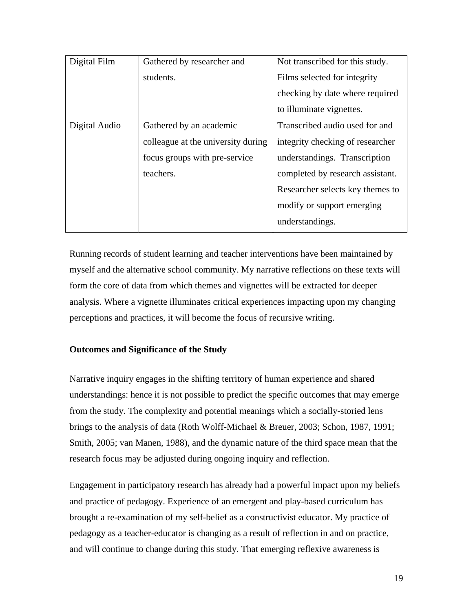| Digital Film  | Gathered by researcher and         | Not transcribed for this study.  |
|---------------|------------------------------------|----------------------------------|
|               | students.                          | Films selected for integrity     |
|               |                                    | checking by date where required  |
|               |                                    | to illuminate vignettes.         |
| Digital Audio | Gathered by an academic            | Transcribed audio used for and   |
|               | colleague at the university during | integrity checking of researcher |
|               | focus groups with pre-service      | understandings. Transcription    |
|               | teachers.                          | completed by research assistant. |
|               |                                    | Researcher selects key themes to |
|               |                                    | modify or support emerging       |
|               |                                    | understandings.                  |

Running records of student learning and teacher interventions have been maintained by myself and the alternative school community. My narrative reflections on these texts will form the core of data from which themes and vignettes will be extracted for deeper analysis. Where a vignette illuminates critical experiences impacting upon my changing perceptions and practices, it will become the focus of recursive writing.

## **Outcomes and Significance of the Study**

Narrative inquiry engages in the shifting territory of human experience and shared understandings: hence it is not possible to predict the specific outcomes that may emerge from the study. The complexity and potential meanings which a socially-storied lens brings to the analysis of data (Roth Wolff-Michael & Breuer, 2003; Schon, 1987, 1991; Smith, 2005; van Manen, 1988), and the dynamic nature of the third space mean that the research focus may be adjusted during ongoing inquiry and reflection.

Engagement in participatory research has already had a powerful impact upon my beliefs and practice of pedagogy. Experience of an emergent and play-based curriculum has brought a re-examination of my self-belief as a constructivist educator. My practice of pedagogy as a teacher-educator is changing as a result of reflection in and on practice, and will continue to change during this study. That emerging reflexive awareness is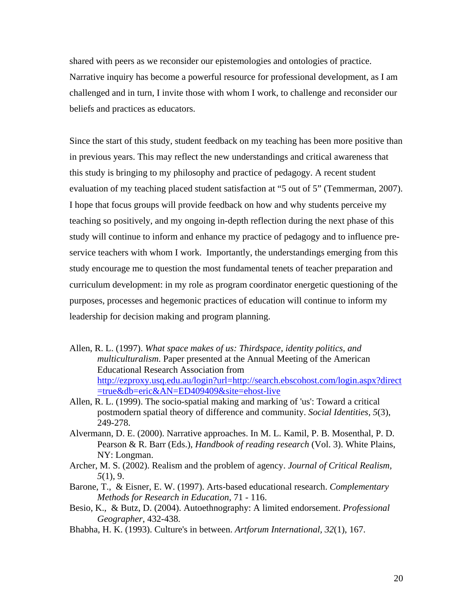shared with peers as we reconsider our epistemologies and ontologies of practice. Narrative inquiry has become a powerful resource for professional development, as I am challenged and in turn, I invite those with whom I work, to challenge and reconsider our beliefs and practices as educators.

Since the start of this study, student feedback on my teaching has been more positive than in previous years. This may reflect the new understandings and critical awareness that this study is bringing to my philosophy and practice of pedagogy. A recent student evaluation of my teaching placed student satisfaction at "5 out of 5" (Temmerman, 2007). I hope that focus groups will provide feedback on how and why students perceive my teaching so positively, and my ongoing in-depth reflection during the next phase of this study will continue to inform and enhance my practice of pedagogy and to influence preservice teachers with whom I work. Importantly, the understandings emerging from this study encourage me to question the most fundamental tenets of teacher preparation and curriculum development: in my role as program coordinator energetic questioning of the purposes, processes and hegemonic practices of education will continue to inform my leadership for decision making and program planning.

- Allen, R. L. (1997). *What space makes of us: Thirdspace, identity politics, and multiculturalism*. Paper presented at the Annual Meeting of the American Educational Research Association from [http://ezproxy.usq.edu.au/login?url=http://search.ebscohost.com/login.aspx?direct](http://ezproxy.usq.edu.au/login?url=http://search.ebscohost.com/login.aspx?direct=true&db=eric&AN=ED409409&site=ehost-live) [=true&db=eric&AN=ED409409&site=ehost-live](http://ezproxy.usq.edu.au/login?url=http://search.ebscohost.com/login.aspx?direct=true&db=eric&AN=ED409409&site=ehost-live)
- Allen, R. L. (1999). The socio-spatial making and marking of 'us': Toward a critical postmodern spatial theory of difference and community. *Social Identities, 5*(3), 249-278.
- Alvermann, D. E. (2000). Narrative approaches. In M. L. Kamil, P. B. Mosenthal, P. D. Pearson & R. Barr (Eds.), *Handbook of reading research* (Vol. 3). White Plains, NY: Longman.
- Archer, M. S. (2002). Realism and the problem of agency. *Journal of Critical Realism, 5*(1), 9.
- Barone, T., & Eisner, E. W. (1997). Arts-based educational research. *Complementary Methods for Research in Education*, 71 - 116.
- Besio, K., & Butz, D. (2004). Autoethnography: A limited endorsement. *Professional Geographer*, 432-438.
- Bhabha, H. K. (1993). Culture's in between. *Artforum International, 32*(1), 167.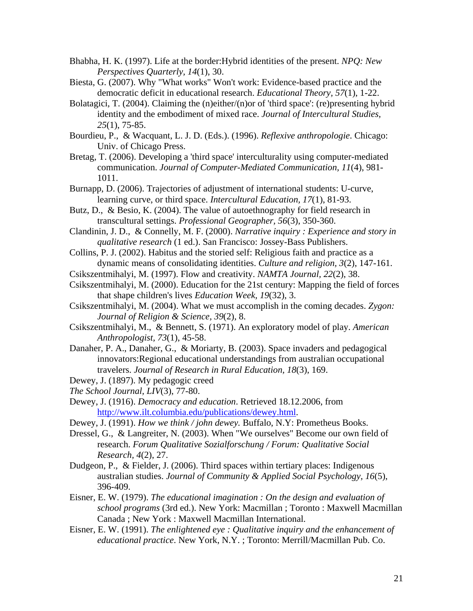- Bhabha, H. K. (1997). Life at the border:Hybrid identities of the present. *NPQ: New Perspectives Quarterly, 14*(1), 30.
- Biesta, G. (2007). Why "What works" Won't work: Evidence-based practice and the democratic deficit in educational research. *Educational Theory, 57*(1), 1-22.
- Bolatagici, T. (2004). Claiming the (n)either/(n)or of 'third space': (re)presenting hybrid identity and the embodiment of mixed race. *Journal of Intercultural Studies, 25*(1), 75-85.
- Bourdieu, P., & Wacquant, L. J. D. (Eds.). (1996). *Reflexive anthropologie*. Chicago: Univ. of Chicago Press.
- Bretag, T. (2006). Developing a 'third space' interculturality using computer-mediated communication. *Journal of Computer-Mediated Communication, 11*(4), 981- 1011.
- Burnapp, D. (2006). Trajectories of adjustment of international students: U-curve, learning curve, or third space. *Intercultural Education, 17*(1), 81-93.
- Butz, D., & Besio, K. (2004). The value of autoethnography for field research in transcultural settings. *Professional Geographer, 56*(3), 350-360.
- Clandinin, J. D., & Connelly, M. F. (2000). *Narrative inquiry : Experience and story in qualitative research* (1 ed.). San Francisco: Jossey-Bass Publishers.
- Collins, P. J. (2002). Habitus and the storied self: Religious faith and practice as a dynamic means of consolidating identities. *Culture and religion, 3*(2), 147-161.
- Csikszentmihalyi, M. (1997). Flow and creativity. *NAMTA Journal, 22*(2), 38.
- Csikszentmihalyi, M. (2000). Education for the 21st century: Mapping the field of forces that shape children's lives *Education Week, 19*(32), 3.
- Csikszentmihalyi, M. (2004). What we must accomplish in the coming decades. *Zygon: Journal of Religion & Science, 39*(2), 8.
- Csikszentmihalyi, M., & Bennett, S. (1971). An exploratory model of play. *American Anthropologist, 73*(1), 45-58.
- Danaher, P. A., Danaher, G., & Moriarty, B. (2003). Space invaders and pedagogical innovators:Regional educational understandings from australian occupational travelers. *Journal of Research in Rural Education, 18*(3), 169.
- Dewey, J. (1897). My pedagogic creed
- *The School Journal, LIV*(3), 77-80.
- Dewey, J. (1916). *Democracy and education*. Retrieved 18.12.2006, from <http://www.ilt.columbia.edu/publications/dewey.html>.
- Dewey, J. (1991). *How we think / john dewey.* Buffalo, N.Y: Prometheus Books.
- Dressel, G., & Langreiter, N. (2003). When "We ourselves" Become our own field of research. *Forum Qualitative Sozialforschung / Forum: Qualitative Social Research, 4*(2), 27.
- Dudgeon, P., & Fielder, J. (2006). Third spaces within tertiary places: Indigenous australian studies. *Journal of Community & Applied Social Psychology, 16*(5), 396-409.
- Eisner, E. W. (1979). *The educational imagination : On the design and evaluation of school programs* (3rd ed.). New York: Macmillan ; Toronto : Maxwell Macmillan Canada ; New York : Maxwell Macmillan International.
- Eisner, E. W. (1991). *The enlightened eye : Qualitative inquiry and the enhancement of educational practice*. New York, N.Y. ; Toronto: Merrill/Macmillan Pub. Co.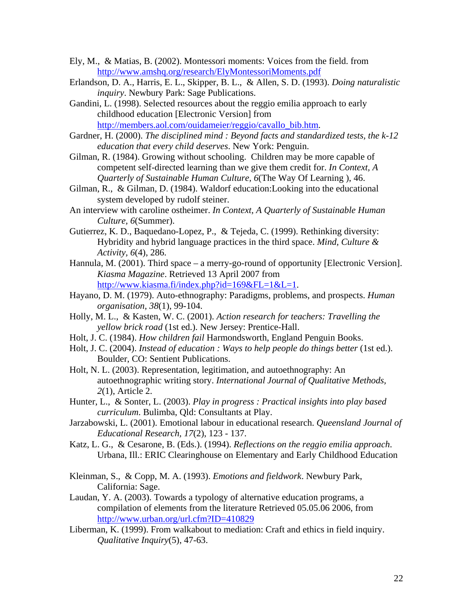- Ely, M., & Matias, B. (2002). Montessori moments: Voices from the field. from <http://www.amshq.org/research/ElyMontessoriMoments.pdf>
- Erlandson, D. A., Harris, E. L., Skipper, B. L., & Allen, S. D. (1993). *Doing naturalistic inquiry*. Newbury Park: Sage Publications.
- Gandini, L. (1998). Selected resources about the reggio emilia approach to early childhood education [Electronic Version] from [http://members.aol.com/ouidameier/reggio/cavallo\\_bib.htm](http://members.aol.com/ouidameier/reggio/cavallo_bib.htm).
- Gardner, H. (2000). *The disciplined mind : Beyond facts and standardized tests, the k-12 education that every child deserves*. New York: Penguin.
- Gilman, R. (1984). Growing without schooling. Children may be more capable of competent self-directed learning than we give them credit for. *In Context, A Quarterly of Sustainable Human Culture, 6*(The Way Of Learning ), 46.
- Gilman, R., & Gilman, D. (1984). Waldorf education:Looking into the educational system developed by rudolf steiner.
- An interview with caroline ostheimer. *In Context, A Quarterly of Sustainable Human Culture, 6*(Summer).
- Gutierrez, K. D., Baquedano-Lopez, P., & Tejeda, C. (1999). Rethinking diversity: Hybridity and hybrid language practices in the third space. *Mind, Culture & Activity, 6*(4), 286.
- Hannula, M. (2001). Third space a merry-go-round of opportunity [Electronic Version]. *Kiasma Magazine*. Retrieved 13 April 2007 from <http://www.kiasma.fi/index.php?id=169&FL=1&L=1>.
- Hayano, D. M. (1979). Auto-ethnography: Paradigms, problems, and prospects. *Human organisation, 38*(1), 99-104.
- Holly, M. L., & Kasten, W. C. (2001). *Action research for teachers: Travelling the yellow brick road* (1st ed.). New Jersey: Prentice-Hall.
- Holt, J. C. (1984). *How children fail* Harmondsworth, England Penguin Books.
- Holt, J. C. (2004). *Instead of education* : Ways to help people do things better (1st ed.). Boulder, CO: Sentient Publications.
- Holt, N. L. (2003). Representation, legitimation, and autoethnography: An autoethnographic writing story. *International Journal of Qualitative Methods, 2*(1), Article 2.
- Hunter, L., & Sonter, L. (2003). *Play in progress : Practical insights into play based curriculum*. Bulimba, Qld: Consultants at Play.
- Jarzabowski, L. (2001). Emotional labour in educational research. *Queensland Journal of Educational Research, 17*(2), 123 - 137.
- Katz, L. G., & Cesarone, B. (Eds.). (1994). *Reflections on the reggio emilia approach*. Urbana, Ill.: ERIC Clearinghouse on Elementary and Early Childhood Education
- Kleinman, S., & Copp, M. A. (1993). *Emotions and fieldwork*. Newbury Park, California: Sage.
- Laudan, Y. A. (2003). Towards a typology of alternative education programs, a compilation of elements from the literature Retrieved 05.05.06 2006, from <http://www.urban.org/url.cfm?ID=410829>
- Liberman, K. (1999). From walkabout to mediation: Craft and ethics in field inquiry. *Qualitative Inquiry*(5), 47-63.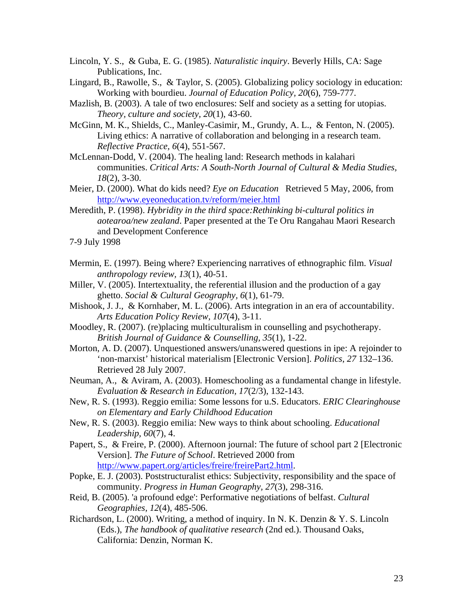- Lincoln, Y. S., & Guba, E. G. (1985). *Naturalistic inquiry*. Beverly Hills, CA: Sage Publications, Inc.
- Lingard, B., Rawolle, S., & Taylor, S. (2005). Globalizing policy sociology in education: Working with bourdieu. *Journal of Education Policy, 20*(6), 759-777.
- Mazlish, B. (2003). A tale of two enclosures: Self and society as a setting for utopias. *Theory, culture and society, 20*(1), 43-60.
- McGinn, M. K., Shields, C., Manley-Casimir, M., Grundy, A. L., & Fenton, N. (2005). Living ethics: A narrative of collaboration and belonging in a research team. *Reflective Practice, 6*(4), 551-567.
- McLennan-Dodd, V. (2004). The healing land: Research methods in kalahari communities. *Critical Arts: A South-North Journal of Cultural & Media Studies, 18*(2), 3-30.
- Meier, D. (2000). What do kids need? *Eye on Education* Retrieved 5 May, 2006, from <http://www.eyeoneducation.tv/reform/meier.html>
- Meredith, P. (1998). *Hybridity in the third space:Rethinking bi-cultural politics in aotearoa/new zealand*. Paper presented at the Te Oru Rangahau Maori Research and Development Conference
- 7-9 July 1998
- Mermin, E. (1997). Being where? Experiencing narratives of ethnographic film. *Visual anthropology review, 13*(1), 40-51.
- Miller, V. (2005). Intertextuality, the referential illusion and the production of a gay ghetto. *Social & Cultural Geography, 6*(1), 61-79.
- Mishook, J. J., & Kornhaber, M. L. (2006). Arts integration in an era of accountability. *Arts Education Policy Review, 107*(4), 3-11.
- Moodley, R. (2007). (re)placing multiculturalism in counselling and psychotherapy. *British Journal of Guidance & Counselling, 35*(1), 1-22.
- Morton, A. D. (2007). Unquestioned answers/unanswered questions in ipe: A rejoinder to 'non-marxist' historical materialism [Electronic Version]. *Politics*, *27* 132–136. Retrieved 28 July 2007.
- Neuman, A., & Aviram, A. (2003). Homeschooling as a fundamental change in lifestyle. *Evaluation & Research in Education, 17*(2/3), 132-143.
- New, R. S. (1993). Reggio emilia: Some lessons for u.S. Educators. *ERIC Clearinghouse on Elementary and Early Childhood Education*
- New, R. S. (2003). Reggio emilia: New ways to think about schooling. *Educational Leadership, 60*(7), 4.
- Papert, S., & Freire, P. (2000). Afternoon journal: The future of school part 2 [Electronic Version]. *The Future of School*. Retrieved 2000 from [http://www.papert.org/articles/freire/freirePart2.html.](http://www.papert.org/articles/freire/freirePart2.html)
- Popke, E. J. (2003). Poststructuralist ethics: Subjectivity, responsibility and the space of community. *Progress in Human Geography, 27*(3), 298-316.
- Reid, B. (2005). 'a profound edge': Performative negotiations of belfast. *Cultural Geographies, 12*(4), 485-506.
- Richardson, L. (2000). Writing, a method of inquiry. In N. K. Denzin & Y. S. Lincoln (Eds.), *The handbook of qualitative research* (2nd ed.). Thousand Oaks, California: Denzin, Norman K.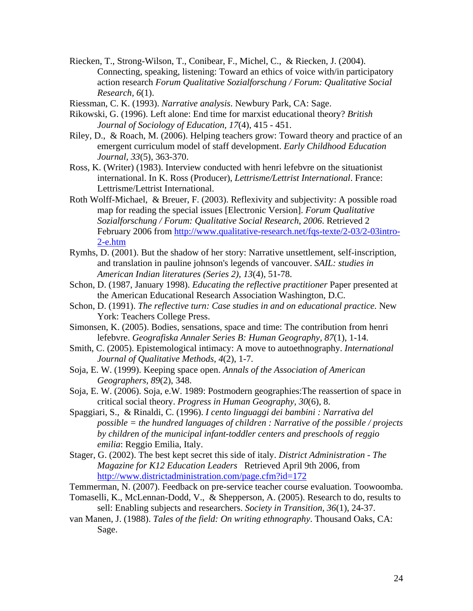- Riecken, T., Strong-Wilson, T., Conibear, F., Michel, C., & Riecken, J. (2004). Connecting, speaking, listening: Toward an ethics of voice with/in participatory action research *Forum Qualitative Sozialforschung / Forum: Qualitative Social Research, 6*(1).
- Riessman, C. K. (1993). *Narrative analysis*. Newbury Park, CA: Sage.
- Rikowski, G. (1996). Left alone: End time for marxist educational theory? *British Journal of Sociology of Education, 17*(4), 415 - 451.
- Riley, D., & Roach, M. (2006). Helping teachers grow: Toward theory and practice of an emergent curriculum model of staff development. *Early Childhood Education Journal, 33*(5), 363-370.
- Ross, K. (Writer) (1983). Interview conducted with henri lefebvre on the situationist international. In K. Ross (Producer), *Lettrisme/Lettrist International*. France: Lettrisme/Lettrist International.
- Roth Wolff-Michael, & Breuer, F. (2003). Reflexivity and subjectivity: A possible road map for reading the special issues [Electronic Version]. *Forum Qualitative Sozialforschung / Forum: Qualitative Social Research*, *2006*. Retrieved 2 February 2006 from [http://www.qualitative-research.net/fqs-texte/2-03/2-03intro-](http://www.qualitative-research.net/fqs-texte/2-03/2-03intro-2-e.htm)[2-e.htm](http://www.qualitative-research.net/fqs-texte/2-03/2-03intro-2-e.htm)
- Rymhs, D. (2001). But the shadow of her story: Narrative unsettlement, self-inscription, and translation in pauline johnson's legends of vancouver. *SAIL: studies in American Indian literatures (Series 2), 13*(4), 51-78.
- Schon, D. (1987, January 1998). *Educating the reflective practitioner* Paper presented at the American Educational Research Association Washington, D.C.
- Schon, D. (1991). *The reflective turn: Case studies in and on educational practice.* New York: Teachers College Press.
- Simonsen, K. (2005). Bodies, sensations, space and time: The contribution from henri lefebvre. *Geografiska Annaler Series B: Human Geography, 87*(1), 1-14.
- Smith, C. (2005). Epistemological intimacy: A move to autoethnography. *International Journal of Qualitative Methods, 4*(2), 1-7.
- Soja, E. W. (1999). Keeping space open. *Annals of the Association of American Geographers, 89*(2), 348.
- Soja, E. W. (2006). Soja, e.W. 1989: Postmodern geographies:The reassertion of space in critical social theory. *Progress in Human Geography, 30*(6), 8.
- Spaggiari, S., & Rinaldi, C. (1996). *I cento linguaggi dei bambini : Narrativa del possible = the hundred languages of children : Narrative of the possible / projects by children of the municipal infant-toddler centers and preschools of reggio emilia*: Reggio Emilia, Italy.
- Stager, G. (2002). The best kept secret this side of italy. *District Administration The Magazine for K12 Education Leaders* Retrieved April 9th 2006, from <http://www.districtadministration.com/page.cfm?id=172>
- Temmerman, N. (2007). Feedback on pre-service teacher course evaluation. Toowoomba.
- Tomaselli, K., McLennan-Dodd, V., & Shepperson, A. (2005). Research to do, results to sell: Enabling subjects and researchers. *Society in Transition, 36*(1), 24-37.
- van Manen, J. (1988). *Tales of the field: On writing ethnography*. Thousand Oaks, CA: Sage.